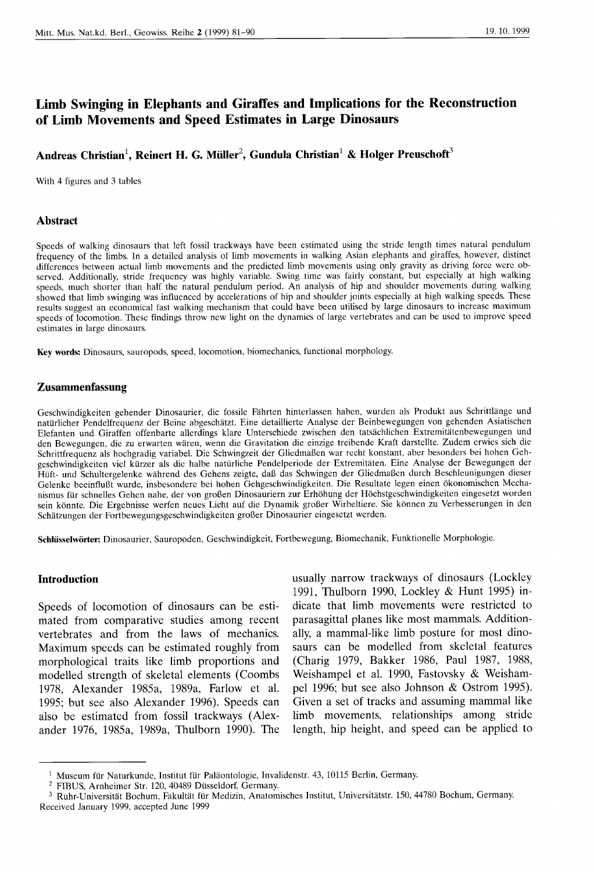# Limb Swinging in Elephants and Giraffes and Implications for the Reconstruction of Limb Movements and Speed Estimates in Large Dinosaurs

# Andreas Christian<sup>1</sup>, Reinert H. G. Müller<sup>2</sup>, Gundula Christian<sup>1</sup> & Holger Preuschoft<sup>3</sup>

With 4 figures and 3 tables

#### Abstract

Speeds of walking dinosaurs that left fossil trackways have been estimated using the stride length times natural pendulum frequency of the limbs. In a detailed analysis of limb movements in walking Asian elephants and giraffes, however, distinct differences between actual limb movements and the predicted limb movements using only gravity as driving force were observed. Additionally, stride frequency was highly variable. Swing time was fairly constant, but especially at high walking speeds, much shorter than half the natural pendulum period . An analysis of hip and shoulder movements during walking showed that limb swinging was influenced by accelerations of hip and shoulder joints especially at high walking speeds. These results suggest an economical fast walking mechanism that could have been utilised by large dinosaurs to increase maximum speeds of locomotion. These findings throw new light on the dynamics of large vertebrates and can be used to improve speed estimates in large dinosaurs.

Key words: Dinosaurs, sauropods, speed, locomotion, biomechanics, functional morphology.

# Zusammenfassung

Geschwindigkeiten gehender Dinosaurier, die fossile Fährten hinterlassen haben, wurden als Produkt aus Schrittlänge und natürlicher Pendelfrequenz der Beine abgeschätzt. Eine detaillierte Analyse der Beinbewegungen von gehenden Asiatischen Elefanten und Giraffen offenbarte allerdings klare Unterschiede zwischen den tatsächlichen Extremitätenbewegungen und den Bewegungen, die zu erwarten wären, wenn die Gravitation die einzige treibende Kraft darstellte. Zudem erwies sich die Schrittfrequenz als hochgradig variabel . Die Schwingzeit der Gliedmaßen war recht konstant, aber besonders bei hohen Gehgeschwindigkeiten viel kürzer als die halbe natürliche Pendelperiode der Extremitäten. Eine Analyse der Bewegungen der Hüft- und Schultergelenke während des Gehens zeigte, daß das Schwingen der Gliedmaßen durch Beschleunigungen dieser Gelenke beeinflußt wurde, insbesondere bei hohen Gehgeschwindigkeiten . Die Resultate legen einen ökonomischen Mechanismus für schnelles Gehen nahe, der von großen Dinosauriern zur Erhöhung der Höchstgeschwindigkeiten eingesetzt worden sein könnte. Die Ergebnisse werfen neues Licht auf die Dynamik großer Wirbeltiere. Sie können zu Verbesserungen in den Schätzungen der Fortbewegungsgeschwindigkeiten großer Dinosaurier eingesetzt werden .

Schlüsselwörter: Dinosaurier, Sauropoden, Geschwindigkeit, Fortbewegung, Biomechanik, Funktionelle Morphologie.

### Introduction

Speeds of locomotion of dinosaurs can be estimated from comparative studies among recent vertebrates and from the laws of mechanics. Maximum speeds can be estimated roughly from morphological traits like limb proportions and modelled strength of skeletal elements (Coombs 1978, Alexander 1985a, 1989a, Farlow et al. 1995; but see also Alexander 1996) . Speeds can also be estimated from fossil trackways (Alexander 1976, 1985a, 1989a, Thulborn 1990). The usually narrow trackways of dinosaurs (Lockley 1991, Thulborn 1990, Lockley & Hunt 1995) indicate that limb movements were restricted to parasagittal planes like most mammals. Additionally, a mammal-like limb posture for most dinosaurs can be modelled from skeletal features (Charig 1979, Bakker 1986, Paul 1987, 1988, Weishampel et al. 1990, Fastovsky & Weishampel 1996; but see also Johnson & Ostrom 1995) . Given <sup>a</sup> set of tracks and assuming mammal like limb movements, relationships among stride length, hip height, and speed can be applied to

Museum für Naturkunde, Institut für Paldontologie, Invalidenstr. 43, 10115 Berlin, Germany.

FIBUS, Arnheimer Str. 120, 40489 Düsseldorf, Germany.

<sup>3</sup> Ruhr-Universität Bochum, Fakultät für Medizin, Anatomisches Institut, Universitätstr. 150, 44780 Bochum, Germany. Received January 1999, accepted June 1999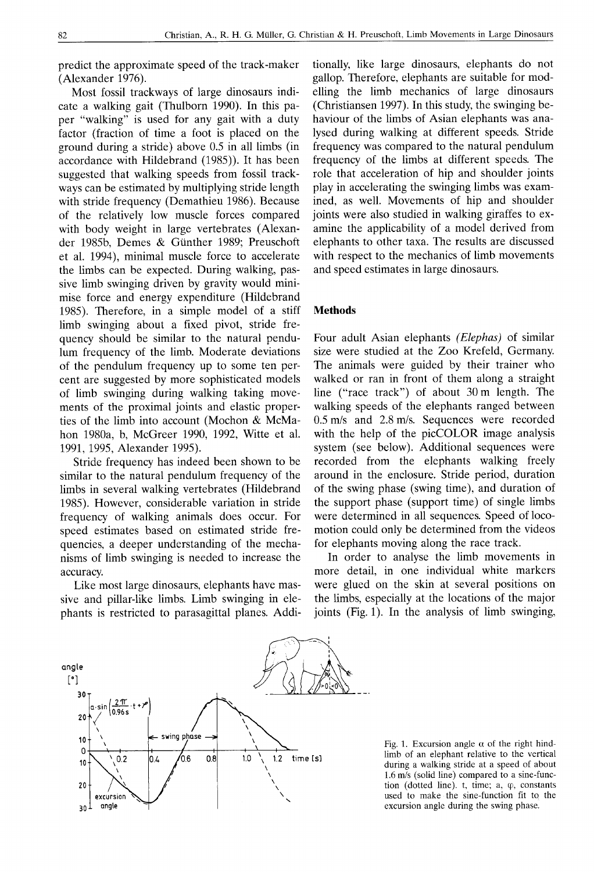predict the approximate speed of the track-maker (Alexander 1976) .

Most fossil trackways of large dinosaurs indicate a walking gait (Thulborn 1990). In this paper "walking" is used for any gait with <sup>a</sup> duty factor (fraction of time a foot is placed on the ground during a stride) above 0.5 in all limbs (in accordance with Hildebrand (1985)). It has been suggested that walking speeds from fossil trackways can be estimated by multiplying stride length with stride frequency (Demathieu 1986). Because of the relatively low muscle forces compared with body weight in large vertebrates (Alexander 1985b, Demes & Günther 1989; Preuschoft et al. 1994), minimal muscle force to accelerate the limbs can be expected. During walking, passive limb swinging driven by gravity would minimise force and energy expenditure (Hildebrand 1985). Therefore, in <sup>a</sup> simple model of <sup>a</sup> stiff limb swinging about a fixed pivot, stride frequency should be similar to the natural pendulum frequency of the limb. Moderate deviations of the pendulum frequency up to some ten percent are suggested by more sophisticated models of limb swinging during walking taking movements of the proximal joints and elastic properties of the limb into account (Mochon & McMahon 1980a, b, McGreer 1990, 1992, Witte et al. 1991, 1995, Alexander 1995) .

Stride frequency has indeed been shown to be similar to the natural pendulum frequency of the limbs in several walking vertebrates (Hildebrand 1985) . However, considerable variation in stride frequency of walking animals does occur. For speed estimates based on estimated stride frequencies, a deeper understanding of the mechanisms of limb swinging is needed to increase the accuracy.

Like most large dinosaurs, elephants have massive and pillar-like limbs. Limb swinging in elephants is restricted to parasagittal planes. Additionally, like large dinosaurs, elephants do not gallop. Therefore, elephants are suitable for modelling the limb mechanics of large dinosaurs (Christiansen 1997). In this study, the swinging behaviour of the limbs of Asian elephants was analysed during walking at different speeds. Stride frequency was compared to the natural pendulum frequency of the limbs at different speeds . The role that acceleration of hip and shoulder joints play in accelerating the swinging limbs was examined, as well. Movements of hip and shoulder joints were also studied in walking giraffes to examine the applicability of <sup>a</sup> model derived from elephants to other taxa. The results are discussed with respect to the mechanics of limb movements and speed estimates in large dinosaurs .

#### Methods

Four adult Asian elephants (Elephas) of similar size were studied at the Zoo Krefeld, Germany. The animals were guided by their trainer who walked or ran in front of them along <sup>a</sup> straight line ("race track") of about <sup>30</sup> m length. The walking speeds of the elephants ranged between 0.5 m/s and 2.8 m/s. Sequences were recorded with the help of the picCOLOR image analysis system (see below). Additional sequences were recorded from the elephants walking freely around in the enclosure. Stride period, duration of the swing phase (swing time), and duration of the support phase (support time) of single limbs were determined in all sequences. Speed of locomotion could only be determined from the videos for elephants moving along the race track.

In order to analyse the limb movements in more detail, in one individual white markers were glued on the skin at several positions on the limbs, especially at the locations of the major joints (Fig. 1). In the analysis of limb swinging,



Fig. 1. Excursion angle  $\alpha$  of the right hindlimb of an elephant relative to the vertical during a walking stride at a speed of about <sup>1</sup> .6 m/s (solid line) compared to <sup>a</sup> sine-function (dotted line).  $t$ , time;  $a$ ,  $\varphi$ , constants used to make the sine-function fit to the excursion angle during the swing phase.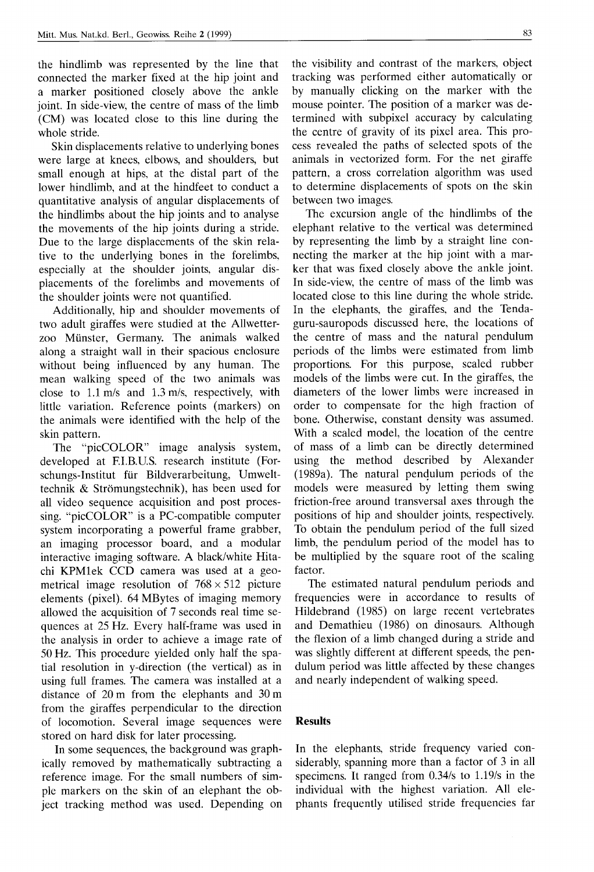the hindlimb was represented by the line that connected the marker fixed at the hip joint and a marker positioned closely above the ankle joint. In side-view, the centre of mass of the limb (CM) was located close to this line during the whole stride.

Skin displacements relative to underlying bones were large at knees, elbows, and shoulders, but small enough at hips, at the distal part of the lower hindlimb, and at the hindfeet to conduct <sup>a</sup> quantitative analysis of angular displacements of the hindlimbs about the hip joints and to analyse the movements of the hip joints during <sup>a</sup> stride. Due to the large displacements of the skin relative to the underlying bones in the forelimbs, especially at the shoulder joints, angular displacements of the forelimbs and movements of the shoulder joints were not quantified.

Additionally, hip and shoulder movements of two adult giraffes were studied at the Allwetterzoo Munster, Germany. The animals walked along a straight wall in their spacious enclosure without being influenced by any human. The mean walking speed of the two animals was close to 1.1 m/s and 1.3 m/s, respectively, with little variation. Reference points (markers) on the animals were identified with the help of the skin pattern.

The "picCOLOR" image analysis system, developed at ELB.U.S. research institute (Forschungs-Institut für Bildverarbeitung, Umwelttechnik & Strömungstechnik), has been used for all video sequence acquisition and post processing. "picCOLOR" is a PC-compatible computer system incorporating a powerful frame grabber, an imaging processor board, and a modular interactive imaging software. A black/white Hitachi KPMlek CCD camera was used at <sup>a</sup> geometrical image resolution of  $768 \times 512$  picture elements (pixel). 64 MBytes of imaging memory allowed the acquisition of 7 seconds real time sequences at 25 Hz. Every half-frame was used in the analysis in order to achieve <sup>a</sup> image rate of 50 Hz. This procedure yielded only half the spatial resolution in y-direction (the vertical) as in using full frames. The camera was installed at <sup>a</sup> distance of <sup>20</sup> m from the elephants and <sup>30</sup> m from the giraffes perpendicular to the direction of locomotion. Several image sequences were stored on hard disk for later processing.

In some sequences, the background was graphically removed by mathematically subtracting a reference image. For the small numbers of simple markers on the skin of an elephant the object tracking method was used. Depending on the visibility and contrast of the markers, object tracking was performed either automatically or by manually clicking on the marker with the mouse pointer. The position of <sup>a</sup> marker was determined with subpixel accuracy by calculating the centre of gravity of its pixel area. This process revealed the paths of selected spots of the animals in vectorized form. For the net giraffe pattern, a cross correlation algorithm was used to determine displacements of spots on the skin between two images.

The excursion angle of the hindlimbs of the elephant relative to the vertical was determined by representing the limb by a straight line connecting the marker at the hip joint with a marker that was fixed closely above the ankle joint. In side-view, the centre of mass of the limb was located close to this line during the whole stride. In the elephants, the giraffes, and the Tendaguru-sauropods discussed here, the locations of the centre of mass and the natural pendulum periods of the limbs were estimated from limb proportions. For this purpose, scaled rubber models of the limbs were cut. In the giraffes, the diameters of the lower limbs were increased in order to compensate for the high fraction of bone. Otherwise, constant density was assumed. With a scaled model, the location of the centre of mass of <sup>a</sup> limb can be directly determined using the method described by Alexander (1989a). The natural pendulum periods of the models were measured by letting them swing friction-free around transversal axes through the positions of hip and shoulder joints, respectively. To obtain the pendulum period of the full sized limb, the pendulum period of the model has to be multiplied by the square root of the scaling factor.

The estimated natural pendulum periods and frequencies were in accordance to results of Hildebrand (1985) on large recent vertebrates and Demathieu (1986) on dinosaurs. Although the flexion of <sup>a</sup> limb changed during a stride and was slightly different at different speeds, the pendulum period was little affected by these changes and nearly independent of walking speed.

#### Results

In the elephants, stride frequency varied considerably, spanning more than <sup>a</sup> factor of <sup>3</sup> in all specimens. It ranged from 0.34/s to 1.19/s in the individual with the highest variation . All elephants frequently utilised stride frequencies far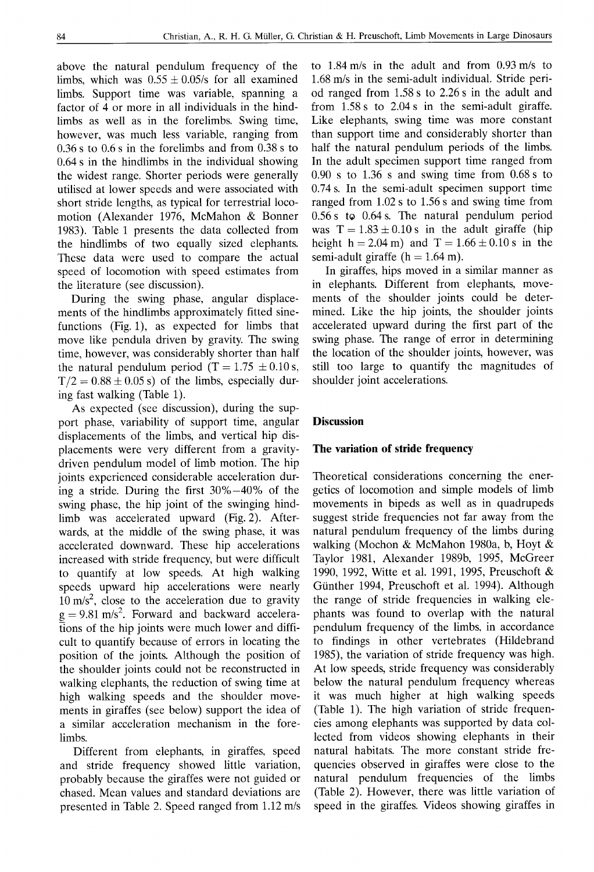above the natural pendulum frequency of the limbs, which was  $0.55 \pm 0.05$ /s for all examined limbs. Support time was variable, spanning a factor of <sup>4</sup> or more in all individuals in the hindlimbs as well as in the forelimbs. Swing time, however, was much less variable, ranging from 0.36 <sup>s</sup> to 0.6 <sup>s</sup> in the forelimbs and from 0.38 <sup>s</sup> to 0.64 s in the hindlimbs in the individual showing the widest range. Shorter periods were generally utilised at lower speeds and were associated with short stride lengths, as typical for terrestrial locomotion (Alexander 1976, McMahon & Bonner 1983). Table <sup>1</sup> presents the data collected from the hindlimbs of two equally sized elephants. These data were used to compare the actual speed of locomotion with speed estimates from the literature (see discussion) .

During the swing phase, angular displacements of the hindlimbs approximately fitted sinefunctions (Fig. 1), as expected for limbs that move like pendula driven by gravity. The swing time, however, was considerably shorter than half the natural pendulum period  $(T = 1.75 \pm 0.10 \text{ s}$ ,  $T/2 = 0.88 \pm 0.05$  s) of the limbs, especially during fast walking (Table 1).

As expected (see discussion), during the support phase, variability of support time, angular displacements of the limbs, and vertical hip displacements were very different from <sup>a</sup> gravitydriven pendulum model of limb motion. The hip joints experienced considerable acceleration during a stride. During the first 30%-40% of the swing phase, the hip joint of the swinging hindlimb was accelerated upward (Fig. 2). Afterwards, at the middle of the swing phase, it was accelerated downward. These hip accelerations increased with stride frequency, but were difficult to quantify at low speeds. At high walking speeds upward hip accelerations were nearly  $10 \text{ m/s}^2$ , close to the acceleration due to gravity  $g = 9.81$  m/s<sup>2</sup>. Forward and backward accelerations of the hip joints were much lower and difficult to quantify because of errors in locating the position of the joints . Although the position of the shoulder joints could not be reconstructed in walking elephants, the reduction of swing time at high walking speeds and the shoulder movements in giraffes (see below) support the idea of a similar acceleration mechanism in the forelimbs.

Different from elephants, in giraffes, speed and stride frequency showed little variation, probably because the giraffes were not guided or chased. Mean values and standard deviations are presented in Table 2. Speed ranged from 1.12 m/s to 1.84 m/s in the adult and from 0.93 m/s to 1.68 m/s in the semi-adult individual. Stride period ranged from <sup>1</sup> .58 <sup>s</sup> to 2.26 <sup>s</sup> in the adult and from  $1.58$  s to  $2.04$  s in the semi-adult giraffe. Like elephants, swing time was more constant than support time and considerably shorter than half the natural pendulum periods of the limbs. In the adult specimen support time ranged from 0.90 <sup>s</sup> to 1.36 <sup>s</sup> and swing time from 0.68 <sup>s</sup> to 0.74 s. In the semi-adult specimen support time ranged from 1.02 s to 1.56 s and swing time from  $0.56$  s to  $0.64$  s. The natural pendulum period was  $T = 1.83 \pm 0.10$  s in the adult giraffe (hip height h = 2.04 m) and T =  $1.66 \pm 0.10$  s in the semi-adult giraffe ( $h = 1.64$  m).

In giraffes, hips moved in <sup>a</sup> similar manner as in elephants. Different from elephants, movements of the shoulder joints could be determined. Like the hip joints, the shoulder joints accelerated upward during the first part of the swing phase. The range of error in determining the location of the shoulder joints, however, was still too large to quantify the magnitudes of shoulder joint accelerations.

## **Discussion**

## The variation of stride frequency

Theoretical considerations concerning the energetics of locomotion and simple models of limb movements in bipeds as well as in quadrupeds suggest stride frequencies not far away from the natural pendulum frequency of the limbs during walking (Mochon & McMahon 1980a, b, Hoyt & Taylor 1981, Alexander 1989b, 1995, McGreer 1990, 1992, Witte et al. 1991, 1995, Preuschoft & Günther 1994, Preuschoft et al. 1994). Although the range of stride frequencies in walking elephants was found to overlap with the natural pendulum frequency of the limbs, in accordance to findings in other vertebrates (Hildebrand 1985), the variation of stride frequency was high. At low speeds, stride frequency was considerably below the natural pendulum frequency whereas it was much higher at high walking speeds (Table 1). The high variation of stride frequencies among elephants was supported by data collected from videos showing elephants in their natural habitats. The more constant stride frequencies observed in giraffes were close to the natural pendulum frequencies of the limbs (Table 2). However, there was little variation of speed in the giraffes. Videos showing giraffes in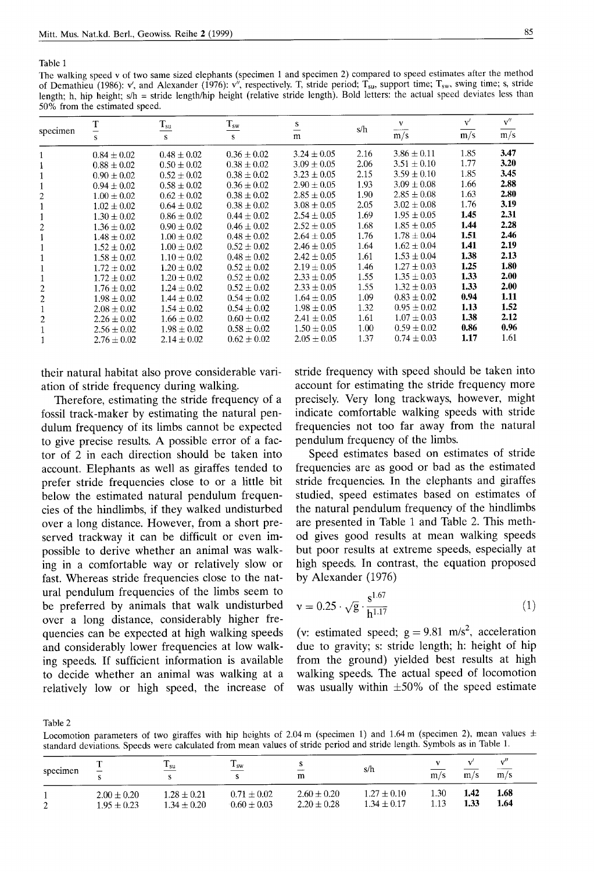Table <sup>1</sup>

The walking speed v of two same sized elephants (specimen <sup>1</sup> and specimen 2) compared to speed estimates after the method of Demathieu (1986): v', and Alexander (1976): v'', respectively. T, stride period;  $T_{\rm su}$ , support time;  $T_{\rm sw}$ , swing time; s, stride length; h, hip height; s/h = stride length/hip height (relative stride length). Bold letters: the actual speed deviates less than 50% from the estimated speed.

| specimen | т<br>—<br>S     | $T_{\rm su}$<br>S | $\rm T_{sw}$<br>s | s<br>m          | s/h  | V<br>m/s        | V<br>m/s | v''<br>m/s |
|----------|-----------------|-------------------|-------------------|-----------------|------|-----------------|----------|------------|
|          | $0.84 \pm 0.02$ | $0.48 \pm 0.02$   | $0.36 \pm 0.02$   | $3.24 \pm 0.05$ | 2.16 | $3.86 \pm 0.11$ | 1.85     | 3.47       |
|          | $0.88 \pm 0.02$ | $0.50 \pm 0.02$   | $0.38 \pm 0.02$   | $3.09 \pm 0.05$ | 2.06 | $3.51 \pm 0.10$ | 1.77     | 3.20       |
|          | $0.90 \pm 0.02$ | $0.52 \pm 0.02$   | $0.38 \pm 0.02$   | $3.23 \pm 0.05$ | 2.15 | $3.59 \pm 0.10$ | 1.85     | 3.45       |
|          | $0.94 \pm 0.02$ | $0.58 \pm 0.02$   | $0.36 \pm 0.02$   | $2.90 \pm 0.05$ | 1.93 | $3.09 \pm 0.08$ | 1.66     | 2.88       |
| 2        | $1.00 \pm 0.02$ | $0.62 \pm 0.02$   | $0.38 \pm 0.02$   | $2.85 \pm 0.05$ | 1.90 | $2.85 \pm 0.08$ | 1.63     | 2.80       |
|          | $1.02 \pm 0.02$ | $0.64 \pm 0.02$   | $0.38 \pm 0.02$   | $3.08 \pm 0.05$ | 2.05 | $3.02 \pm 0.08$ | 1.76     | 3.19       |
|          | $1.30 \pm 0.02$ | $0.86 \pm 0.02$   | $0.44 \pm 0.02$   | $2.54 \pm 0.05$ | 1.69 | $1.95 \pm 0.05$ | 1.45     | 2.31       |
| 2        | $1.36 \pm 0.02$ | $0.90 \pm 0.02$   | $0.46 \pm 0.02$   | $2.52 \pm 0.05$ | 1.68 | $1.85 \pm 0.05$ | 1.44     | 2.28       |
|          | $1.48 \pm 0.02$ | $1.00 \pm 0.02$   | $0.48 \pm 0.02$   | $2.64 \pm 0.05$ | 1.76 | $1.78 \pm 0.04$ | 1.51     | 2.46       |
|          | $1.52 \pm 0.02$ | $1.00 \pm 0.02$   | $0.52 \pm 0.02$   | $2.46 \pm 0.05$ | 1.64 | $1.62 \pm 0.04$ | 1.41     | 2.19       |
|          | $1.58 \pm 0.02$ | $1.10 \pm 0.02$   | $0.48 \pm 0.02$   | $2.42 \pm 0.05$ | 1.61 | $1.53 \pm 0.04$ | 1.38     | 2.13       |
|          | $1.72 \pm 0.02$ | $1.20 \pm 0.02$   | $0.52 \pm 0.02$   | $2.19 \pm 0.05$ | 1.46 | $1.27 \pm 0.03$ | 1.25     | 1.80       |
|          | $1.72 \pm 0.02$ | $1.20 \pm 0.02$   | $0.52 \pm 0.02$   | $2.33 \pm 0.05$ | 1.55 | $1.35 \pm 0.03$ | 1.33     | 2.00       |
|          | $1.76 \pm 0.02$ | $1.24 \pm 0.02$   | $0.52 \pm 0.02$   | $2.33 \pm 0.05$ | 1.55 | $1.32 \pm 0.03$ | 1.33     | 2.00       |
| 2        | $1.98 \pm 0.02$ | $1.44 \pm 0.02$   | $0.54 \pm 0.02$   | $1.64 \pm 0.05$ | 1.09 | $0.83 \pm 0.02$ | 0.94     | 1.11       |
| 1        | $2.08 \pm 0.02$ | $1.54 \pm 0.02$   | $0.54 \pm 0.02$   | $1.98 \pm 0.05$ | 1.32 | $0.95 \pm 0.02$ | 1.13     | 1.52       |
| 2        | $2.26 \pm 0.02$ | $1.66 \pm 0.02$   | $0.60 \pm 0.02$   | $2.41 \pm 0.05$ | 1.61 | $1.07 \pm 0.03$ | 1.38     | 2.12       |
|          | $2.56 \pm 0.02$ | $1.98 \pm 0.02$   | $0.58 \pm 0.02$   | $1.50 \pm 0.05$ | 1.00 | $0.59 \pm 0.02$ | 0.86     | 0.96       |
|          | $2.76 \pm 0.02$ | $2.14 \pm 0.02$   | $0.62 \pm 0.02$   | $2.05 \pm 0.05$ | 1.37 | $0.74 \pm 0.03$ | 1.17     | 1.61       |

their natural habitat also prove considerable variation of stride frequency during walking.

Therefore, estimating the stride frequency of a fossil track-maker by estimating the natural pendulum frequency of its limbs cannot be expected to give precise results . A possible error of <sup>a</sup> factor of 2 in each direction should be taken into account. Elephants as well as giraffes tended to prefer stride frequencies close to or a little bit below the estimated natural pendulum frequencies of the hindlimbs, if they walked undisturbed over <sup>a</sup> long distance. However, from a short preserved trackway it can be difficult or even impossible to derive whether an animal was walking in <sup>a</sup> comfortable way or relatively slow or fast. Whereas stride frequencies close to the natural pendulum frequencies of the limbs seem to be preferred by animals that walk undisturbed over a long distance, considerably higher frequencies can be expected at high walking speeds and considerably lower frequencies at low walking speeds . If sufficient information is available to decide whether an animal was walking at a relatively low or high speed, the increase of stride frequency with speed should be taken into account for estimating the stride frequency more precisely. Very long trackways, however, might indicate comfortable walking speeds with stride frequencies not too far away from the natural pendulum frequency of the limbs.

Speed estimates based on estimates of stride frequencies are as good or bad as the estimated stride frequencies. In the elephants and giraffes studied, speed estimates based on estimates of the natural pendulum frequency of the hindlimbs are presented in Table 1 and Table 2. This method gives good results at mean walking speeds but poor results at extreme speeds, especially at high speeds. In contrast, the equation proposed by Alexander (1976)

$$
\mathbf{v} = 0.25 \cdot \sqrt{\mathbf{g}} \cdot \frac{\mathbf{s}^{1.67}}{\mathbf{h}^{1.17}}
$$
 (1)

(v: estimated speed;  $g = 9.81$  m/s<sup>2</sup>, acceleration due to gravity; s: stride length; h: height of hip from the ground) yielded best results at high walking speeds. The actual speed of locomotion was usually within  $\pm 50\%$  of the speed estimate

Table 2

Locomotion parameters of two giraffes with hip heights of 2.04 m (specimen 1) and 1.64 m (specimen 2), mean values  $\pm$ standard deviations . Speeds were calculated from mean values of stride period and stride length . Symbols as in Table 1.

| specimen | ᠇᠇<br>$\hspace{0.05cm}$            | $\frac{I_{\text{su}}}{I_{\text{su}}}$ | $\frac{1}{1}$ sw                    | m                                  | s/h                              | m/s          | m/s          | $\mathbf{v}^{\prime\prime}$<br>m/s |  |
|----------|------------------------------------|---------------------------------------|-------------------------------------|------------------------------------|----------------------------------|--------------|--------------|------------------------------------|--|
| ↑        | $2.00 \pm 0.20$<br>$1.95 \pm 0.23$ | $1.28 \pm 0.21$<br>$1.34 \pm 0.20$    | $0.71 \pm 0.02$<br>$-0.60 \pm 0.03$ | $2.60 \pm 0.20$<br>$2.20 \pm 0.28$ | $1.27 \pm 0.10$<br>$1.34 + 0.17$ | 1.30<br>1.13 | 1.42<br>1.33 | 1.68<br>1.64                       |  |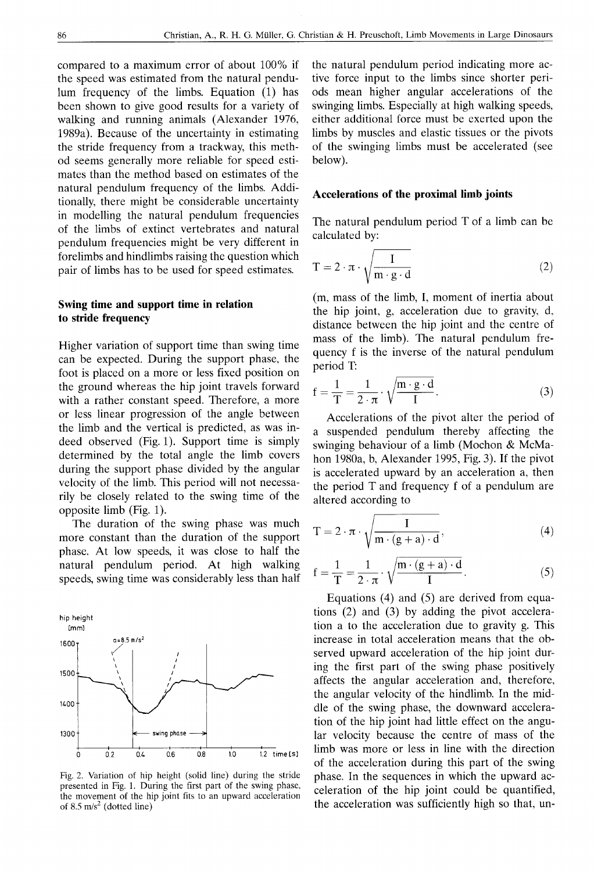compared to <sup>a</sup> maximum error of about 100% if the speed was estimated from the natural pendulum frequency of the limbs. Equation (1) has been shown to give good results for a variety of walking and running animals (Alexander 1976, 1989a). Because of the uncertainty in estimating the stride frequency from a trackway, this method seems generally more reliable for speed estimates than the method based on estimates of the natural pendulum frequency of the limbs. Additionally, there might be considerable uncertainty in modelling the natural pendulum frequencies of the limbs of extinct vertebrates and natural pendulum frequencies might be very different in forelimbs and hindlimbs raising the question which pair of limbs has to be used for speed estimates.

# Swing time and support time in relation to stride frequency

Higher variation of support time than swing time can be expected. During the support phase, the foot is placed on a more or less fixed position on the ground whereas the hip joint travels forward with a rather constant speed. Therefore, a more or less linear progression of the angle between the limb and the vertical is predicted, as was indeed observed (Fig. 1). Support time is simply determined by the total angle the limb covers during the support phase divided by the angular velocity of the limb. This period will not necessarily be closely related to the swing time of the opposite limb (Fig. 1).

The duration of the swing phase was much more constant than the duration of the support phase. At low speeds, it was close to half the natural pendulum period. At high walking speeds, swing time was considerably less than half



Fig. 2. Variation of hip height (solid line) during the stride presented in Fig. 1. During the first part of the swing phase, the movement of the hip joint fits to an upward acceleration of  $8.5 \text{ m/s}^2$  (dotted line)

the natural pendulum period indicating more active force input to the limbs since shorter periods mean higher angular accelerations of the swinging limbs. Especially at high walking speeds, either additional force must be exerted upon the limbs by muscles and elastic tissues or the pivots of the swinging limbs must be accelerated (see below).

# Accelerations of the proximal limb joints

The natural pendulum period T of <sup>a</sup> limb can be calculated by:

$$
T = 2 \cdot \pi \cdot \sqrt{\frac{I}{m \cdot g \cdot d}} \tag{2}
$$

(m, mass of the limb, 1, moment of inertia about the hip joint, g, acceleration due to gravity, d, distance between the hip joint and the centre of mass of the limb). The natural pendulum frequency <sup>f</sup> is the inverse of the natural pendulum period T:

$$
f = \frac{1}{T} = \frac{1}{2 \cdot \pi} \cdot \sqrt{\frac{m \cdot g \cdot d}{I}}.
$$
 (3)

Accelerations of the pivot alter the period of <sup>a</sup> suspended pendulum thereby affecting the swinging behaviour of <sup>a</sup> limb (Mochon & McMahon 1980a, b, Alexander 1995, Fig. 3). If the pivot is accelerated upward by an acceleration a, then the period T and frequency <sup>f</sup> of a pendulum are altered according to

$$
T = 2 \cdot \pi \cdot \sqrt{\frac{I}{m \cdot (g + a) \cdot d}}, \tag{4}
$$

$$
f = \frac{1}{T} = \frac{1}{2 \cdot \pi} \cdot \sqrt{\frac{m \cdot (g + a) \cdot d}{I}}.
$$
 (5)

Equations (4) and (5) are derived from equations (2) and (3) by adding the pivot acceleration a to the acceleration due to gravity g. This increase in total acceleration means that the observed upward acceleration of the hip joint during the first part of the swing phase positively affects the angular acceleration and, therefore, the angular velocity of the hindlimb. In the middle of the swing phase, the downward acceleration of the hip joint had little effect on the angular velocity because the centre of mass of the limb was more or less in line with the direction of the acceleration during this part of the swing phase. In the sequences in which the upward acceleration of the hip joint could be quantified, the acceleration was sufficiently high so that, un-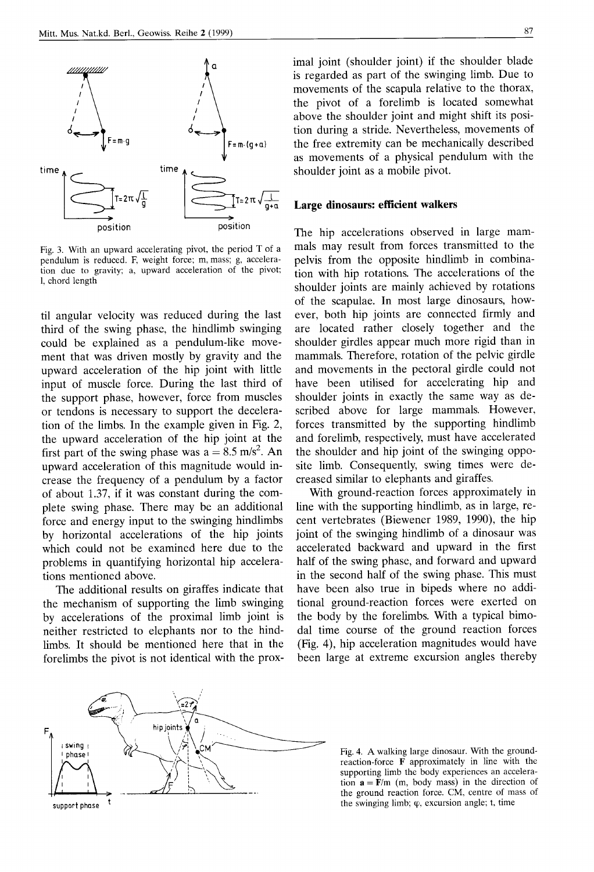

Fig. 3. With an upward accelerating pivot, the period T of <sup>a</sup> pendulum is reduced. F, weight force; m, mass; g, acceleration due to gravity; a, upward acceleration of the pivot; 1, chord length

til angular velocity was reduced during the last third of the swing phase, the hindlimb swinging could be explained as a pendulum-like movement that was driven mostly by gravity and the upward acceleration of the hip joint with little input of muscle force. During the last third of the support phase, however, force from muscles or tendons is necessary to support the deceleration of the limbs. In the example given in Fig. 2, the upward acceleration of the hip joint at the first part of the swing phase was  $a = 8.5$  m/s<sup>2</sup>. An upward acceleration of this magnitude would increase the frequency of a pendulum by a factor of about 1.37, if it was constant during the complete swing phase. There may be an additional force and energy input to the swinging hindlimbs by horizontal accelerations of the hip joints which could not be examined here due to the problems in quantifying horizontal hip accelerations mentioned above.

The additional results on giraffes indicate that the mechanism of supporting the limb swinging by accelerations of the proximal limb joint is neither restricted to elephants nor to the hindlimbs. It should be mentioned here that in the forelimbs the pivot is not identical with the proximal joint (shoulder joint) if the shoulder blade is regarded as part of the swinging limb. Due to movements of the scapula relative to the thorax, the pivot of a forelimb is located somewhat above the shoulder joint and might shift its position during a stride. Nevertheless, movements of the free extremity can be mechanically described as movements of <sup>a</sup> physical pendulum with the shoulder joint as a mobile pivot.

# Large dinosaurs: efficient walkers

The hip accelerations observed in large mammals may result from forces transmitted to the pelvis from the opposite hindlimb in combination with hip rotations. The accelerations of the shoulder joints are mainly achieved by rotations of the scapulae. In most large dinosaurs, however, both hip joints are connected firmly and are located rather closely together and the shoulder girdles appear much more rigid than in mammals. Therefore, rotation of the pelvic girdle and movements in the pectoral girdle could not have been utilised for accelerating hip and shoulder joints in exactly the same way as described above for large mammals. However, forces transmitted by the supporting hindlimb and forelimb, respectively, must have accelerated the shoulder and hip joint of the swinging opposite limb. Consequently, swing times were decreased similar to elephants and giraffes.

With ground-reaction forces approximately in line with the supporting hindlimb, as in large, recent vertebrates (Biewener 1989, 1990), the hip joint of the swinging hindlimb of a dinosaur was accelerated backward and upward in the first half of the swing phase, and forward and upward in the second half of the swing phase. This must have been also true in bipeds where no additional ground-reaction forces were exerted on the body by the forelimbs. With a typical bimodal time course of the ground reaction forces (Fig. 4), hip acceleration magnitudes would have been large at extreme excursion angles thereby



Fig. 4. A walking large dinosaur. With the groundreaction-force F approximately in line with the supporting limb the body experiences an acceleration  $a = \bar{F}/m$  (m, body mass) in the direction of the ground reaction force . CM, centre of mass of the swinging limb;  $\varphi$ , excursion angle; t, time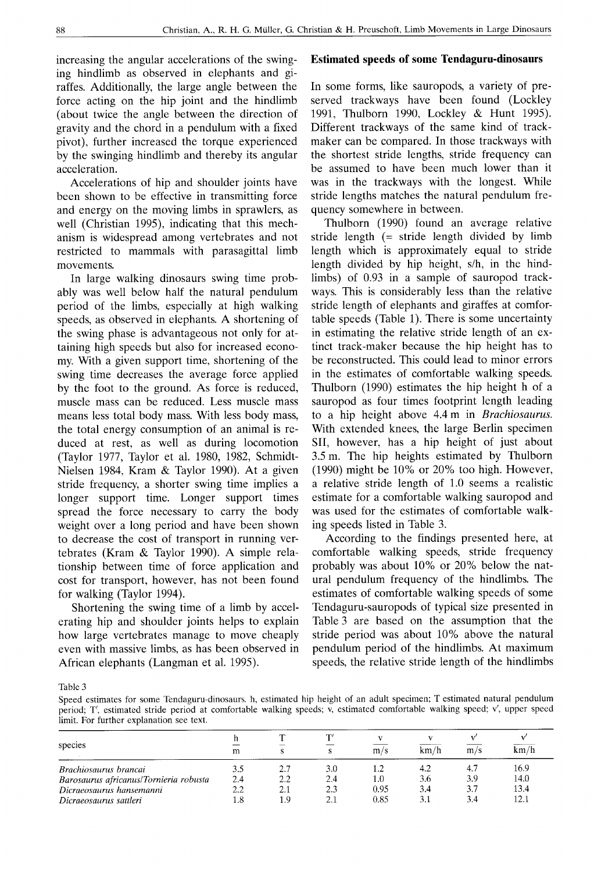increasing the angular accelerations of the swinging hindlimb as observed in elephants and giraffes. Additionally, the large angle between the force acting on the hip joint and the hindlimb (about twice the angle between the direction of gravity and the chord in <sup>a</sup> pendulum with a fixed pivot), further increased the torque experienced by the swinging hindlimb and thereby its angular acceleration.

Accelerations of hip and shoulder joints have been shown to be effective in transmitting force and energy on the moving limbs in sprawlers, as well (Christian 1995), indicating that this mechanism is widespread among vertebrates and not restricted to mammals with parasagittal limb movements.

In large walking dinosaurs swing time probably was well below half the natural pendulum period of the limbs, especially at high walking speeds, as observed in elephants . A shortening of the swing phase is advantageous not only for attaining high speeds but also for increased economy. With <sup>a</sup> given support time, shortening of the swing time decreases the average force applied by the foot to the ground. As force is reduced, muscle mass can be reduced. Less muscle mass means less total body mass. With less body mass, the total energy consumption of an animal is reduced at rest, as well as during locomotion (Taylor 1977, Taylor et al. 1980, 1982, Schmidt-Nielsen 1984, Kram & Taylor 1990). At <sup>a</sup> given stride frequency, a shorter swing time implies a longer support time. Longer support times spread the force necessary to carry the body weight over a long period and have been shown to decrease the cost of transport in running vertebrates (Kram & Taylor 1990). A simple relationship between time of force application and cost for transport, however, has not been found for walking (Taylor 1994).

Shortening the swing time of a limb by accelerating hip and shoulder joints helps to explain how large vertebrates manage to move cheaply even with massive limbs, as has been observed in African elephants (Langman et al. 1995) .

### Estimated speeds of some Tendaguru-dinosaurs

In some forms, like sauropods, <sup>a</sup> variety of preserved trackways have been found (Lockley 1991, Thulborn 1990, Lockley & Hunt 1995). Different trackways of the same kind of trackmaker can be compared. In those trackways with the shortest stride lengths, stride frequency can be assumed to have been much lower than it was in the trackways with the longest. While stride lengths matches the natural pendulum frequency somewhere in between.

Thulborn (1990) found an average relative stride length (= stride length divided by limb length which is approximately equal to stride length divided by hip height, s/h, in the hindlimbs) of 0.93 in a sample of sauropod trackways. This is considerably less than the relative stride length of elephants and giraffes at comfortable speeds (Table 1). There is some uncertainty in estimating the relative stride length of an extinct track-maker because the hip height has to be reconstructed. This could lead to minor errors in the estimates of comfortable walking speeds. Tbulborn (1990) estimates the hip height h of a sauropod as four times footprint length leading to a hip height above 4.4m in Brachiosaurus. With extended knees, the large Berlin specimen SII, however, has a hip height of just about 3.5m. The hip heights estimated by Thulborn (1990) might be 10% or 20% too high. However, a relative stride length of 1.0 seems a realistic estimate for a comfortable walking sauropod and was used for the estimates of comfortable walking speeds listed in Table 3.

According to the findings presented here, at comfortable walking speeds, stride frequency probably was about 10% or 20% below the natural pendulum frequency of the hindlimbs . The estimates of comfortable walking speeds of some Tendaguru-sauropods of typical size presented in Table <sup>3</sup> are based on the assumption that the stride period was about 10% above the natural pendulum period of the hindlimbs. At maximum speeds, the relative stride length of the hindlimbs

Table 3

Speed estimates for some Tendaguru-dinosaurs. h, estimated hip height of an adult specimen; T estimated natural pendulum period; T', estimated stride period at comfortable walking speeds; v, estimated comfortable walking speed; v', upper speed limit. For further explanation see text.

|                                        |     |     | FT U |      | km/h | m/s | km/h |
|----------------------------------------|-----|-----|------|------|------|-----|------|
| species                                | m   |     |      | m/s  |      |     |      |
| Brachiosaurus brancai                  |     | 2.7 | 3.0  | 1.2  | 4.2  | 4.7 | 16.9 |
| Barosaurus africanus/Tornieria robusta | 2.4 | 2.2 | 2.4  | 1.0  | 3.6  | 3.9 | 14.0 |
| Dicraeosaurus hansemanni               | 2.2 | 2.1 | 2.3  | 0.95 | 3.4  | 3.7 | 13.4 |
| Dicraeosaurus sattleri                 | 1.8 | ı.9 | 2.1  | 0.85 |      | 3.4 | 12.1 |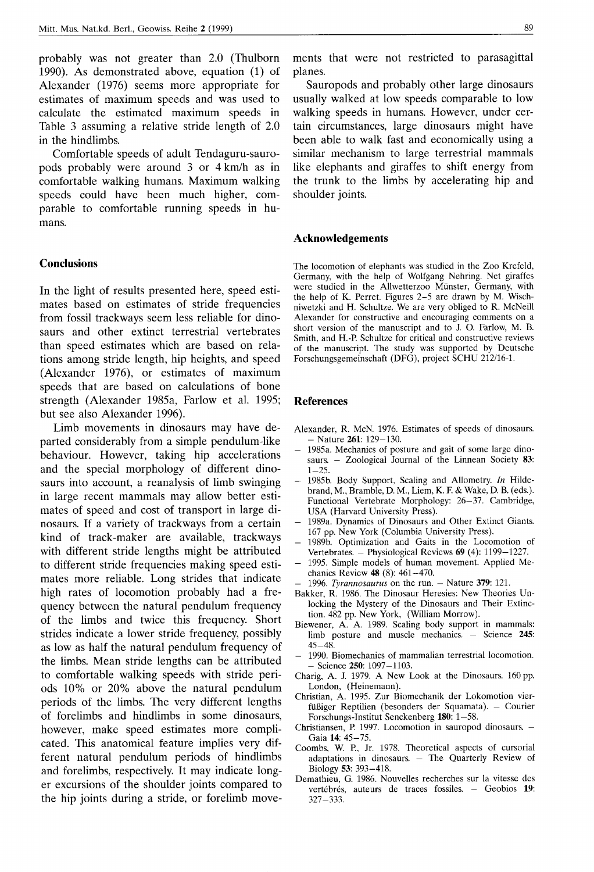probably was not greater than 2.0 (Thulborn 1990). As demonstrated above, equation  $(1)$  of Alexander (1976) seems more appropriate for estimates of maximum speeds and was used to calculate the estimated maximum speeds in Table 3 assuming a relative stride length of 2.0 in the hindlimbs.

Comfortable speeds of adult Tendaguru-sauropods probably were around <sup>3</sup> or 4 km/h as in comfortable walking humans. Maximum walking speeds could have been much higher, comparable to comfortable running speeds in humans.

# **Conclusions**

In the light of results presented here, speed estimates based on estimates of stride frequencies from fossil trackways seem less reliable for dinosaurs and other extinct terrestrial vertebrates than speed estimates which are based on relations among stride length, hip heights, and speed (Alexander 1976), or estimates of maximum speeds that are based on calculations of bone strength (Alexander 1985a, Farlow et al. 1995; but see also Alexander 1996).

Limb movements in dinosaurs may have departed considerably from a simple pendulum-like behaviour. However, taking hip accelerations and the special morphology of different dinosaurs into account, a reanalysis of limb swinging in large recent mammals may allow better estimates of speed and cost of transport in large dinosaurs. If a variety of trackways from a certain kind of track-maker are available, trackways with different stride lengths might be attributed to different stride frequencies making speed estimates more reliable. Long strides that indicate high rates of locomotion probably had a frequency between the natural pendulum frequency of the limbs and twice this frequency. Short strides indicate a lower stride frequency, possibly as low as half the natural pendulum frequency of the limbs. Mean stride lengths can be attributed to comfortable walking speeds with stride periods 10% or 20% above the natural pendulum periods of the limbs. The very different lengths of forelimbs and hindlimbs in some dinosaurs, however, make speed estimates more complicated. This anatomical feature implies very different natural pendulum periods of hindlimbs and forelimbs, respectively. It may indicate longer excursions of the shoulder joints compared to the hip joints during a stride, or forelimb move-

ments that were not restricted to parasagittal planes.

Sauropods and probably other large dinosaurs usually walked at low speeds comparable to low walking speeds in humans. However, under certain circumstances, large dinosaurs might have been able to walk fast and economically using a similar mechanism to large terrestrial mammals like elephants and giraffes to shift energy from the trunk to the limbs by accelerating hip and shoulder joints.

#### Acknowledgements

The locomotion of elephants was studied in the Zoo Krefeld, Germany, with the help of Wolfgang Nehring. Net giraffes were studied in the Allwetterzoo Münster, Germany, with the help of K. Perret. Figures  $2-5$  are drawn by M. Wischniwetzki and H. Schultze. We are very obliged to R. McNeill Alexander for constructive and encouraging comments on <sup>a</sup> short version of the manuscript and to J. O. Farlow, M. B. Smith, and H.-P Schultze for critical and constructive reviews of the manuscript. The study was supported by Deutsche Forschungsgemeinschaft (DFG), project SCHU 212/16-1 .

#### References

- Alexander, R. McN. 1976. Estimates of speeds of dinosaurs. - Nature 261: 129-130.
- 1985a. Mechanics of posture and gait of some large dinosaurs. - Zoological Journal of the Linnean Society 83:  $1 - 25$ .
- 1985b. Body Support, Scaling and Allometry. In Hildebrand, M., Bramble, D. M., Liem, K. F. & Wake, D. B. (eds.). Functional Vertebrate Morphology: 26-37. Cambridge, USA (Harvard University Press) .
- 1989a. Dynamics of Dinosaurs and Other Extinct Giants. 167 pp. New York (Columbia University Press) .
- 1989b. Optimization and Gaits in the Locomotion of Vertebrates. - Physiological Reviews  $69$  (4): 1199-1227.
- 1995. Simple models of human movement. Applied Mechanics Review 48  $(8)$ : 461-470.
- 1996. Tyrannosaurus on the run.  $-$  Nature 379: 121.
- Bakker, R. 1986. The Dinosaur Heresies: New Theories Unlocking the Mystery of the Dinosaurs and Their Extinction . 482 pp. New York, (William Morrow).
- Biewener, A. A. 1989. Scaling body support in mammals: limb posture and muscle mechanics. - Science 245: 45-48.
- 1990. Biomechanics of mammalian terrestrial locomotion.  $-$  Science 250: 1097 $-1103$ .
- Charig, A. J. 1979. A New Look at the Dinosaurs. <sup>160</sup> pp. London, (Heinemann).
- Christian, A. 1995. Zur Biomechanik der Lokomotion vierfüßiger Reptilien (besonders der Squamata). - Courier Forschungs-Institut Senckenberg 180: 1-58.
- Christiansen, P. 1997. Locomotion in sauropod dinosaurs. -Gaia 14: 45-75.
- Coombs, W P, Jr. 1978. Theoretical aspects of cursorial adaptations in dinosaurs.  $-$  The Quarterly Review of Biology 53: 393-418.
- Demathieu, G. 1986. Nouvelles recherches sur la vitesse des vertébrés, auteurs de traces fossiles. - Geobios 19: 327-333.